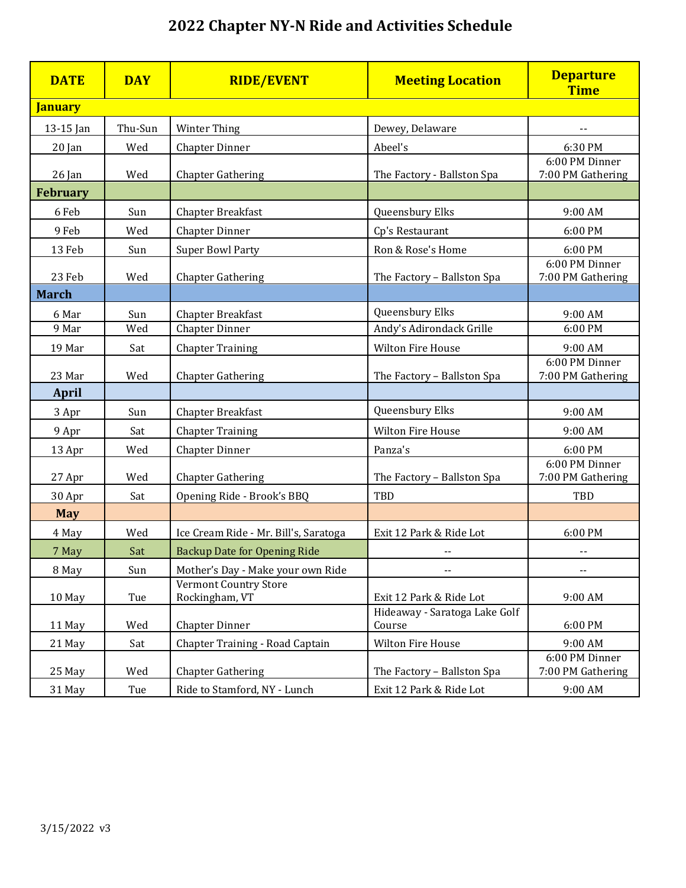## **2022 Chapter NY-N Ride and Activities Schedule**

| <b>DATE</b>     | <b>DAY</b> | <b>RIDE/EVENT</b>                              | <b>Meeting Location</b>                 | <b>Departure</b><br><b>Time</b>     |
|-----------------|------------|------------------------------------------------|-----------------------------------------|-------------------------------------|
| <b>January</b>  |            |                                                |                                         |                                     |
| 13-15 Jan       | Thu-Sun    | Winter Thing                                   | Dewey, Delaware                         | --                                  |
| $20$ Jan        | Wed        | <b>Chapter Dinner</b>                          | Abeel's                                 | 6:30 PM                             |
| 26 Jan          | Wed        | <b>Chapter Gathering</b>                       | The Factory - Ballston Spa              | 6:00 PM Dinner<br>7:00 PM Gathering |
| <b>February</b> |            |                                                |                                         |                                     |
| 6 Feb           | Sun        | Chapter Breakfast                              | Queensbury Elks                         | 9:00 AM                             |
| 9 Feb           | Wed        | <b>Chapter Dinner</b>                          | Cp's Restaurant                         | 6:00 PM                             |
| 13 Feb          | Sun        | <b>Super Bowl Party</b>                        | Ron & Rose's Home                       | 6:00 PM                             |
| 23 Feb          | Wed        | <b>Chapter Gathering</b>                       | The Factory - Ballston Spa              | 6:00 PM Dinner<br>7:00 PM Gathering |
| <b>March</b>    |            |                                                |                                         |                                     |
| 6 Mar           | Sun        | Chapter Breakfast                              | Queensbury Elks                         | 9:00 AM                             |
| 9 Mar           | Wed        | <b>Chapter Dinner</b>                          | Andy's Adirondack Grille                | 6:00 PM                             |
| 19 Mar          | Sat        | <b>Chapter Training</b>                        | <b>Wilton Fire House</b>                | 9:00 AM                             |
| 23 Mar          | Wed        | <b>Chapter Gathering</b>                       | The Factory - Ballston Spa              | 6:00 PM Dinner<br>7:00 PM Gathering |
| <b>April</b>    |            |                                                |                                         |                                     |
| 3 Apr           | Sun        | Chapter Breakfast                              | Queensbury Elks                         | 9:00 AM                             |
| 9 Apr           | Sat        | <b>Chapter Training</b>                        | Wilton Fire House                       | 9:00 AM                             |
| 13 Apr          | Wed        | <b>Chapter Dinner</b>                          | Panza's                                 | 6:00 PM                             |
| 27 Apr          | Wed        | <b>Chapter Gathering</b>                       | The Factory - Ballston Spa              | 6:00 PM Dinner<br>7:00 PM Gathering |
| 30 Apr          | Sat        | Opening Ride - Brook's BBQ                     | TBD                                     | TBD                                 |
| <b>May</b>      |            |                                                |                                         |                                     |
| 4 May           | Wed        | Ice Cream Ride - Mr. Bill's, Saratoga          | Exit 12 Park & Ride Lot                 | 6:00 PM                             |
| 7 May           | Sat        | <b>Backup Date for Opening Ride</b>            | --                                      |                                     |
| 8 May           | Sun        | Mother's Day - Make your own Ride              | --                                      | --                                  |
| 10 May          | Tue        | <b>Vermont Country Store</b><br>Rockingham, VT | Exit 12 Park & Ride Lot                 | 9:00 AM                             |
| 11 May          | Wed        | <b>Chapter Dinner</b>                          | Hideaway - Saratoga Lake Golf<br>Course | 6:00 PM                             |
| 21 May          | Sat        | Chapter Training - Road Captain                | Wilton Fire House                       | 9:00 AM                             |
| 25 May          | Wed        | <b>Chapter Gathering</b>                       | The Factory - Ballston Spa              | 6:00 PM Dinner<br>7:00 PM Gathering |
| 31 May          | Tue        | Ride to Stamford, NY - Lunch                   | Exit 12 Park & Ride Lot                 | 9:00 AM                             |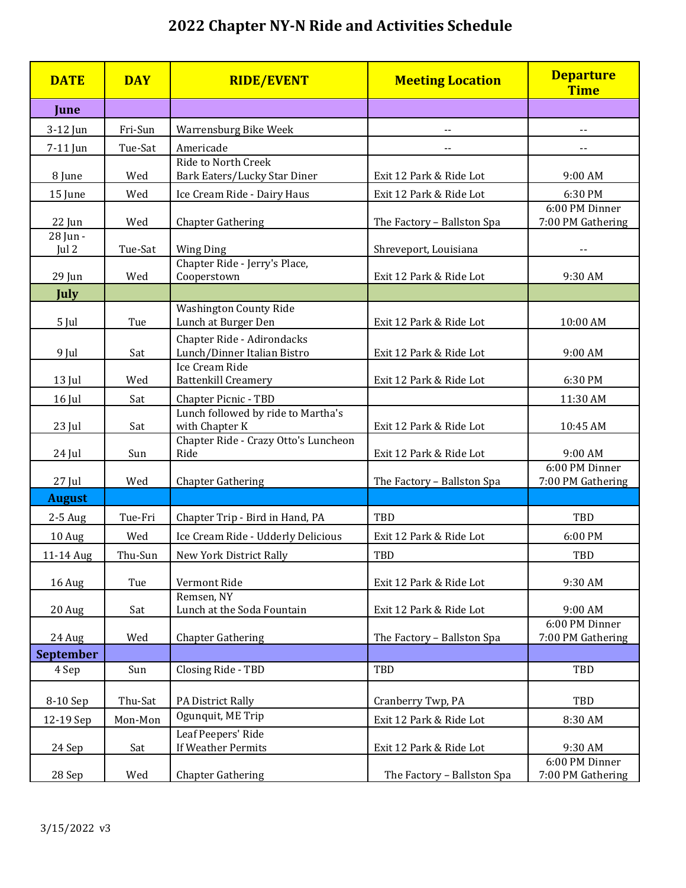## **2022 Chapter NY-N Ride and Activities Schedule**

| <b>DATE</b>       | <b>DAY</b> | <b>RIDE/EVENT</b>                                         | <b>Meeting Location</b>    | <b>Departure</b><br><b>Time</b>     |
|-------------------|------------|-----------------------------------------------------------|----------------------------|-------------------------------------|
| June              |            |                                                           |                            |                                     |
| 3-12 Jun          | Fri-Sun    | Warrensburg Bike Week                                     |                            |                                     |
| 7-11 Jun          | Tue-Sat    | Americade                                                 | $\overline{\phantom{a}}$   | $\overline{\phantom{a}}$            |
| 8 June            | Wed        | Ride to North Creek<br>Bark Eaters/Lucky Star Diner       | Exit 12 Park & Ride Lot    | 9:00 AM                             |
| 15 June           | Wed        | Ice Cream Ride - Dairy Haus                               | Exit 12 Park & Ride Lot    | 6:30 PM                             |
| 22 Jun            | Wed        | <b>Chapter Gathering</b>                                  | The Factory - Ballston Spa | 6:00 PM Dinner<br>7:00 PM Gathering |
| 28 Jun -<br>Jul 2 | Tue-Sat    | <b>Wing Ding</b>                                          | Shreveport, Louisiana      |                                     |
|                   |            | Chapter Ride - Jerry's Place,                             |                            |                                     |
| 29 Jun            | Wed        | Cooperstown                                               | Exit 12 Park & Ride Lot    | 9:30 AM                             |
| <b>July</b>       |            |                                                           |                            |                                     |
| 5 Jul             | Tue        | <b>Washington County Ride</b><br>Lunch at Burger Den      | Exit 12 Park & Ride Lot    | 10:00 AM                            |
| 9 Jul             | Sat        | Chapter Ride - Adirondacks<br>Lunch/Dinner Italian Bistro | Exit 12 Park & Ride Lot    | 9:00 AM                             |
| 13 Jul            | Wed        | Ice Cream Ride<br><b>Battenkill Creamery</b>              | Exit 12 Park & Ride Lot    | 6:30 PM                             |
| 16 Jul            | Sat        | Chapter Picnic - TBD                                      |                            | 11:30 AM                            |
| 23 Jul            | Sat        | Lunch followed by ride to Martha's<br>with Chapter K      | Exit 12 Park & Ride Lot    | 10:45 AM                            |
| 24 Jul            | Sun        | Chapter Ride - Crazy Otto's Luncheon<br>Ride              | Exit 12 Park & Ride Lot    | 9:00 AM                             |
| 27 Jul            | Wed        | <b>Chapter Gathering</b>                                  | The Factory - Ballston Spa | 6:00 PM Dinner<br>7:00 PM Gathering |
| <b>August</b>     |            |                                                           |                            |                                     |
| 2-5 Aug           | Tue-Fri    | Chapter Trip - Bird in Hand, PA                           | TBD                        | TBD                                 |
| 10 Aug            | Wed        | Ice Cream Ride - Udderly Delicious                        | Exit 12 Park & Ride Lot    | 6:00 PM                             |
| 11-14 Aug         | Thu-Sun    | New York District Rally                                   | TBD                        | TBD                                 |
| 16 Aug            | Tue        | Vermont Ride                                              | Exit 12 Park & Ride Lot    | 9:30 AM                             |
| 20 Aug            | Sat        | Remsen, NY<br>Lunch at the Soda Fountain                  | Exit 12 Park & Ride Lot    | 9:00 AM                             |
| 24 Aug            | Wed        | <b>Chapter Gathering</b>                                  | The Factory - Ballston Spa | 6:00 PM Dinner<br>7:00 PM Gathering |
| <b>September</b>  |            |                                                           |                            |                                     |
| 4 Sep             | Sun        | Closing Ride - TBD                                        | TBD                        | TBD                                 |
| 8-10 Sep          | Thu-Sat    | PA District Rally                                         | Cranberry Twp, PA          | TBD                                 |
| 12-19 Sep         | Mon-Mon    | Ogunquit, ME Trip                                         | Exit 12 Park & Ride Lot    | 8:30 AM                             |
| 24 Sep            | Sat        | Leaf Peepers' Ride<br>If Weather Permits                  | Exit 12 Park & Ride Lot    | 9:30 AM                             |
| 28 Sep            | Wed        | <b>Chapter Gathering</b>                                  | The Factory - Ballston Spa | 6:00 PM Dinner<br>7:00 PM Gathering |